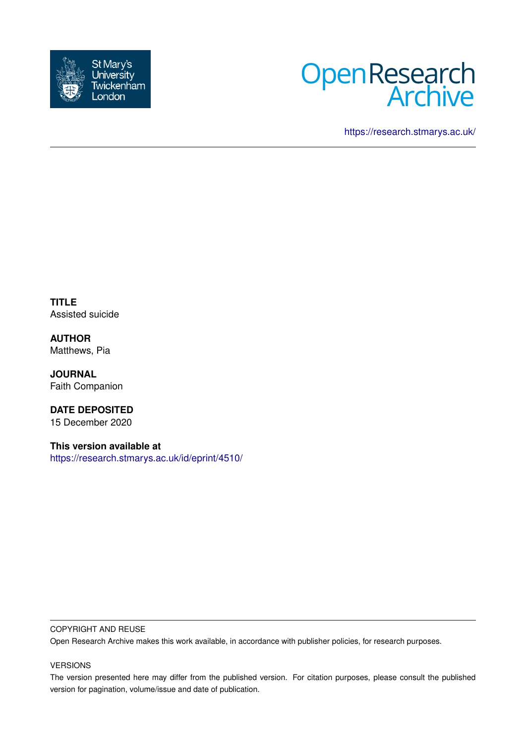



<https://research.stmarys.ac.uk/>

**TITLE** Assisted suicide

**AUTHOR** Matthews, Pia

**JOURNAL** Faith Companion

**DATE DEPOSITED** 15 December 2020

**This version available at** <https://research.stmarys.ac.uk/id/eprint/4510/>

## COPYRIGHT AND REUSE

Open Research Archive makes this work available, in accordance with publisher policies, for research purposes.

## VERSIONS

The version presented here may differ from the published version. For citation purposes, please consult the published version for pagination, volume/issue and date of publication.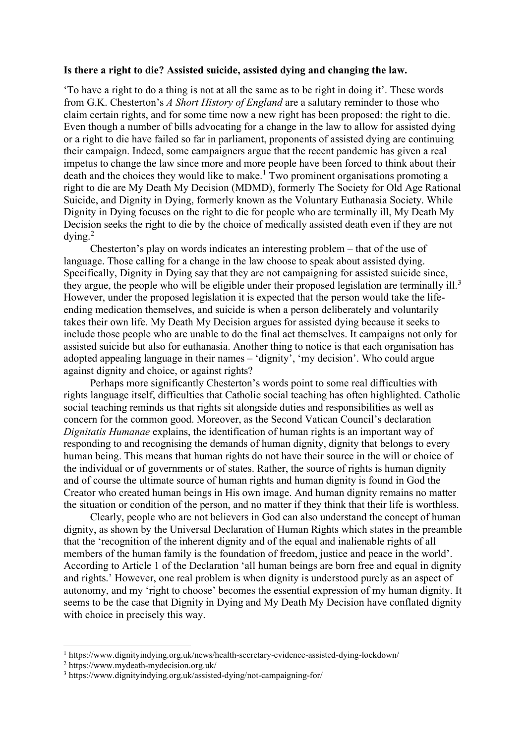## **Is there a right to die? Assisted suicide, assisted dying and changing the law.**

'To have a right to do a thing is not at all the same as to be right in doing it'. These words from G.K. Chesterton's *A Short History of England* are a salutary reminder to those who claim certain rights, and for some time now a new right has been proposed: the right to die. Even though a number of bills advocating for a change in the law to allow for assisted dying or a right to die have failed so far in parliament, proponents of assisted dying are continuing their campaign. Indeed, some campaigners argue that the recent pandemic has given a real impetus to change the law since more and more people have been forced to think about their death and the choices they would like to make.<sup>[1](#page-1-0)</sup> Two prominent organisations promoting a right to die are My Death My Decision (MDMD), formerly The Society for Old Age Rational Suicide, and Dignity in Dying, formerly known as the Voluntary Euthanasia Society. While Dignity in Dying focuses on the right to die for people who are terminally ill, My Death My Decision seeks the right to die by the choice of medically assisted death even if they are not dying. $<sup>2</sup>$  $<sup>2</sup>$  $<sup>2</sup>$ </sup>

 Chesterton's play on words indicates an interesting problem – that of the use of language. Those calling for a change in the law choose to speak about assisted dying. Specifically, Dignity in Dying say that they are not campaigning for assisted suicide since, they argue, the people who will be eligible under their proposed legislation are terminally ill.<sup>[3](#page-1-2)</sup> However, under the proposed legislation it is expected that the person would take the lifeending medication themselves, and suicide is when a person deliberately and voluntarily takes their own life. My Death My Decision argues for assisted dying because it seeks to include those people who are unable to do the final act themselves. It campaigns not only for assisted suicide but also for euthanasia. Another thing to notice is that each organisation has adopted appealing language in their names – 'dignity', 'my decision'. Who could argue against dignity and choice, or against rights?

 Perhaps more significantly Chesterton's words point to some real difficulties with rights language itself, difficulties that Catholic social teaching has often highlighted. Catholic social teaching reminds us that rights sit alongside duties and responsibilities as well as concern for the common good. Moreover, as the Second Vatican Council's declaration *Dignitatis Humanae* explains, the identification of human rights is an important way of responding to and recognising the demands of human dignity, dignity that belongs to every human being. This means that human rights do not have their source in the will or choice of the individual or of governments or of states. Rather, the source of rights is human dignity and of course the ultimate source of human rights and human dignity is found in God the Creator who created human beings in His own image. And human dignity remains no matter the situation or condition of the person, and no matter if they think that their life is worthless.

 Clearly, people who are not believers in God can also understand the concept of human dignity, as shown by the Universal Declaration of Human Rights which states in the preamble that the 'recognition of the inherent dignity and of the equal and inalienable rights of all members of the human family is the foundation of freedom, justice and peace in the world'. According to Article 1 of the Declaration 'all human beings are born free and equal in dignity and rights.' However, one real problem is when dignity is understood purely as an aspect of autonomy, and my 'right to choose' becomes the essential expression of my human dignity. It seems to be the case that Dignity in Dying and My Death My Decision have conflated dignity with choice in precisely this way.

<span id="page-1-0"></span><sup>&</sup>lt;sup>1</sup> https://www.dignityindying.org.uk/news/health-secretary-evidence-assisted-dying-lockdown/<br><sup>2</sup> https://www.mydeath-mydecision.org.uk/

<span id="page-1-1"></span>

<span id="page-1-2"></span><sup>3</sup> https://www.dignityindying.org.uk/assisted-dying/not-campaigning-for/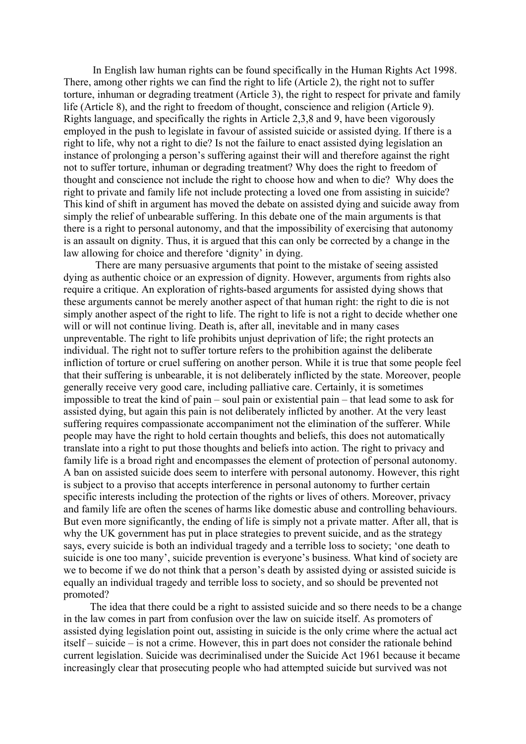In English law human rights can be found specifically in the Human Rights Act 1998. There, among other rights we can find the right to life (Article 2), the right not to suffer torture, inhuman or degrading treatment (Article 3), the right to respect for private and family life (Article 8), and the right to freedom of thought, conscience and religion (Article 9). Rights language, and specifically the rights in Article 2,3,8 and 9, have been vigorously employed in the push to legislate in favour of assisted suicide or assisted dying. If there is a right to life, why not a right to die? Is not the failure to enact assisted dying legislation an instance of prolonging a person's suffering against their will and therefore against the right not to suffer torture, inhuman or degrading treatment? Why does the right to freedom of thought and conscience not include the right to choose how and when to die? Why does the right to private and family life not include protecting a loved one from assisting in suicide? This kind of shift in argument has moved the debate on assisted dying and suicide away from simply the relief of unbearable suffering. In this debate one of the main arguments is that there is a right to personal autonomy, and that the impossibility of exercising that autonomy is an assault on dignity. Thus, it is argued that this can only be corrected by a change in the law allowing for choice and therefore 'dignity' in dying.

 There are many persuasive arguments that point to the mistake of seeing assisted dying as authentic choice or an expression of dignity. However, arguments from rights also require a critique. An exploration of rights-based arguments for assisted dying shows that these arguments cannot be merely another aspect of that human right: the right to die is not simply another aspect of the right to life. The right to life is not a right to decide whether one will or will not continue living. Death is, after all, inevitable and in many cases unpreventable. The right to life prohibits unjust deprivation of life; the right protects an individual. The right not to suffer torture refers to the prohibition against the deliberate infliction of torture or cruel suffering on another person. While it is true that some people feel that their suffering is unbearable, it is not deliberately inflicted by the state. Moreover, people generally receive very good care, including palliative care. Certainly, it is sometimes impossible to treat the kind of pain – soul pain or existential pain – that lead some to ask for assisted dying, but again this pain is not deliberately inflicted by another. At the very least suffering requires compassionate accompaniment not the elimination of the sufferer. While people may have the right to hold certain thoughts and beliefs, this does not automatically translate into a right to put those thoughts and beliefs into action. The right to privacy and family life is a broad right and encompasses the element of protection of personal autonomy. A ban on assisted suicide does seem to interfere with personal autonomy. However, this right is subject to a proviso that accepts interference in personal autonomy to further certain specific interests including the protection of the rights or lives of others. Moreover, privacy and family life are often the scenes of harms like domestic abuse and controlling behaviours. But even more significantly, the ending of life is simply not a private matter. After all, that is why the UK government has put in place strategies to prevent suicide, and as the strategy says, every suicide is both an individual tragedy and a terrible loss to society; 'one death to suicide is one too many', suicide prevention is everyone's business. What kind of society are we to become if we do not think that a person's death by assisted dying or assisted suicide is equally an individual tragedy and terrible loss to society, and so should be prevented not promoted?

 The idea that there could be a right to assisted suicide and so there needs to be a change in the law comes in part from confusion over the law on suicide itself. As promoters of assisted dying legislation point out, assisting in suicide is the only crime where the actual act itself – suicide – is not a crime. However, this in part does not consider the rationale behind current legislation. Suicide was decriminalised under the Suicide Act 1961 because it became increasingly clear that prosecuting people who had attempted suicide but survived was not